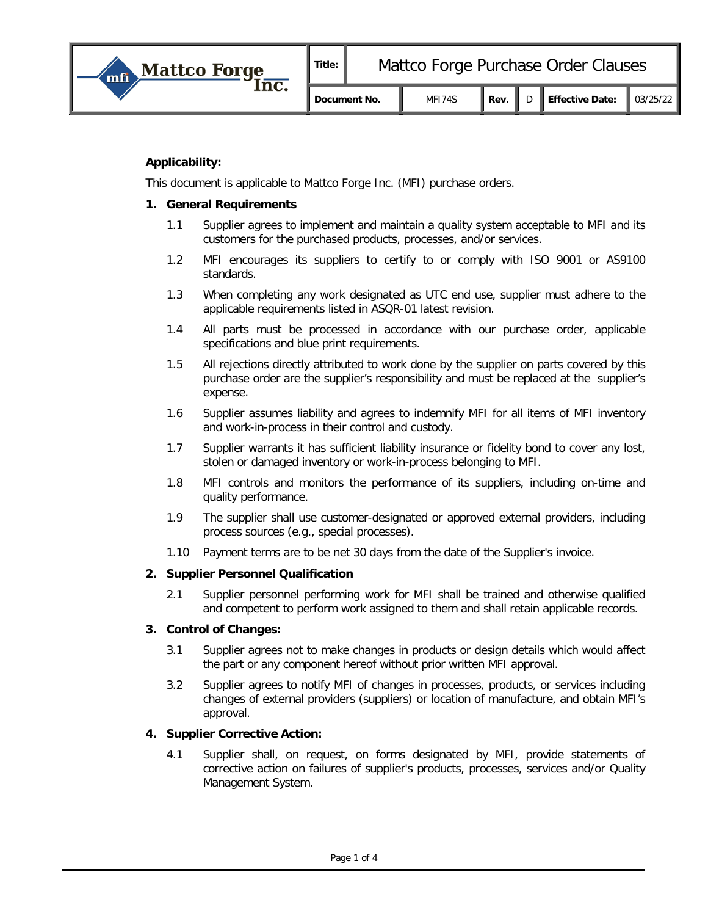

# **Applicability:**

This document is applicable to Mattco Forge Inc. (MFI) purchase orders.

### **1. General Requirements**

- 1.1 Supplier agrees to implement and maintain a quality system acceptable to MFI and its customers for the purchased products, processes, and/or services.
- 1.2 MFI encourages its suppliers to certify to or comply with ISO 9001 or AS9100 standards.
- 1.3 When completing any work designated as UTC end use, supplier must adhere to the applicable requirements listed in ASQR-01 latest revision.
- 1.4 All parts must be processed in accordance with our purchase order, applicable specifications and blue print requirements.
- 1.5 All rejections directly attributed to work done by the supplier on parts covered by this purchase order are the supplier's responsibility and must be replaced at the supplier's expense.
- 1.6 Supplier assumes liability and agrees to indemnify MFI for all items of MFI inventory and work-in-process in their control and custody.
- 1.7 Supplier warrants it has sufficient liability insurance or fidelity bond to cover any lost, stolen or damaged inventory or work-in-process belonging to MFI.
- 1.8 MFI controls and monitors the performance of its suppliers, including on-time and quality performance.
- 1.9 The supplier shall use customer-designated or approved external providers, including process sources (e.g., special processes).
- 1.10 Payment terms are to be net 30 days from the date of the Supplier's invoice.

## **2. Supplier Personnel Qualification**

2.1 Supplier personnel performing work for MFI shall be trained and otherwise qualified and competent to perform work assigned to them and shall retain applicable records.

## **3. Control of Changes:**

- 3.1 Supplier agrees not to make changes in products or design details which would affect the part or any component hereof without prior written MFI approval.
- 3.2 Supplier agrees to notify MFI of changes in processes, products, or services including changes of external providers (suppliers) or location of manufacture, and obtain MFI's approval.

## **4. Supplier Corrective Action:**

4.1 Supplier shall, on request, on forms designated by MFI, provide statements of corrective action on failures of supplier's products, processes, services and/or Quality Management System.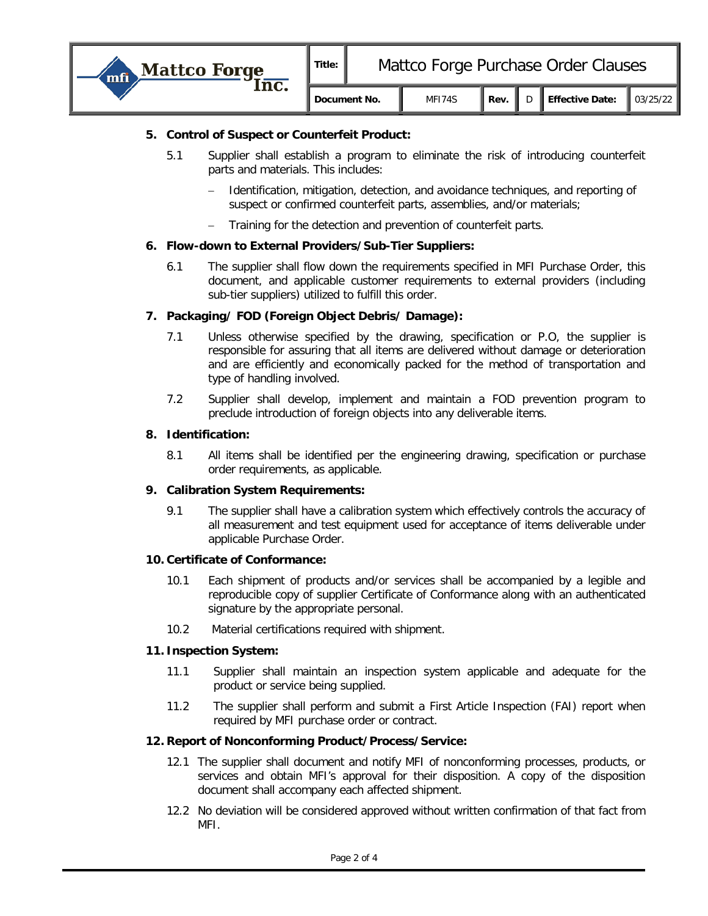| <b>Mattco Forge</b> | Title:       | Mattco Forge Purchase Order Clauses |        |      |  |                                      |  |
|---------------------|--------------|-------------------------------------|--------|------|--|--------------------------------------|--|
|                     | Document No. |                                     | MF174S | Rev. |  | Effective Date: $\parallel$ 03/25/22 |  |

## **5. Control of Suspect or Counterfeit Product:**

- 5.1 Supplier shall establish a program to eliminate the risk of introducing counterfeit parts and materials. This includes:
	- Identification, mitigation, detection, and avoidance techniques, and reporting of suspect or confirmed counterfeit parts, assemblies, and/or materials;
	- − Training for the detection and prevention of counterfeit parts.

### **6. Flow-down to External Providers/Sub-Tier Suppliers:**

6.1 The supplier shall flow down the requirements specified in MFI Purchase Order, this document, and applicable customer requirements to external providers (including sub-tier suppliers) utilized to fulfill this order.

### **7. Packaging/ FOD (Foreign Object Debris/ Damage):**

- 7.1 Unless otherwise specified by the drawing, specification or P.O, the supplier is responsible for assuring that all items are delivered without damage or deterioration and are efficiently and economically packed for the method of transportation and type of handling involved.
- 7.2 Supplier shall develop, implement and maintain a FOD prevention program to preclude introduction of foreign objects into any deliverable items.

### **8. Identification:**

8.1 All items shall be identified per the engineering drawing, specification or purchase order requirements, as applicable.

## **9. Calibration System Requirements:**

9.1 The supplier shall have a calibration system which effectively controls the accuracy of all measurement and test equipment used for acceptance of items deliverable under applicable Purchase Order.

#### **10. Certificate of Conformance:**

- 10.1 Each shipment of products and/or services shall be accompanied by a legible and reproducible copy of supplier Certificate of Conformance along with an authenticated signature by the appropriate personal.
- 10.2 Material certifications required with shipment.

#### **11. Inspection System:**

- 11.1 Supplier shall maintain an inspection system applicable and adequate for the product or service being supplied.
- 11.2 The supplier shall perform and submit a First Article Inspection (FAI) report when required by MFI purchase order or contract.

#### **12. Report of Nonconforming Product/Process/Service:**

- 12.1 The supplier shall document and notify MFI of nonconforming processes, products, or services and obtain MFI's approval for their disposition. A copy of the disposition document shall accompany each affected shipment.
- 12.2 No deviation will be considered approved without written confirmation of that fact from MFI.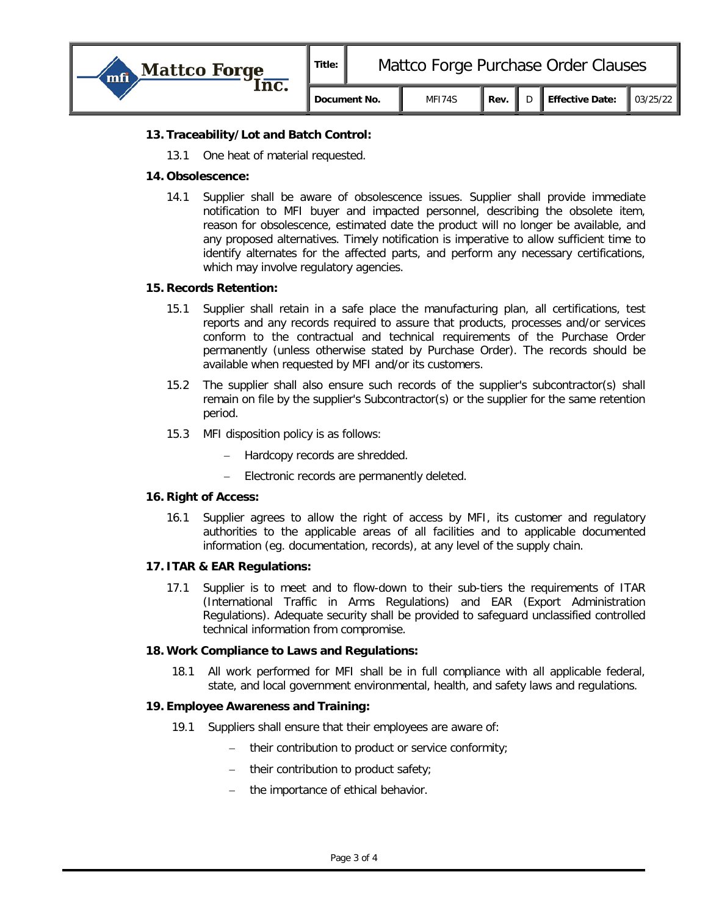

## **13. Traceability/Lot and Batch Control:**

13.1 One heat of material requested.

#### **14. Obsolescence:**

14.1 Supplier shall be aware of obsolescence issues. Supplier shall provide immediate notification to MFI buyer and impacted personnel, describing the obsolete item, reason for obsolescence, estimated date the product will no longer be available, and any proposed alternatives. Timely notification is imperative to allow sufficient time to identify alternates for the affected parts, and perform any necessary certifications, which may involve regulatory agencies.

### **15. Records Retention:**

- 15.1 Supplier shall retain in a safe place the manufacturing plan, all certifications, test reports and any records required to assure that products, processes and/or services conform to the contractual and technical requirements of the Purchase Order permanently (unless otherwise stated by Purchase Order). The records should be available when requested by MFI and/or its customers.
- 15.2 The supplier shall also ensure such records of the supplier's subcontractor(s) shall remain on file by the supplier's Subcontractor(s) or the supplier for the same retention period.
- 15.3 MFI disposition policy is as follows:
	- − Hardcopy records are shredded.
	- Electronic records are permanently deleted.

#### **16. Right of Access:**

16.1 Supplier agrees to allow the right of access by MFI, its customer and regulatory authorities to the applicable areas of all facilities and to applicable documented information (eg. documentation, records), at any level of the supply chain.

#### **17. ITAR & EAR Regulations:**

17.1 Supplier is to meet and to flow-down to their sub-tiers the requirements of ITAR (International Traffic in Arms Regulations) and EAR (Export Administration Regulations). Adequate security shall be provided to safeguard unclassified controlled technical information from compromise.

#### **18. Work Compliance to Laws and Regulations:**

18.1 All work performed for MFI shall be in full compliance with all applicable federal, state, and local government environmental, health, and safety laws and regulations.

#### **19. Employee Awareness and Training:**

- 19.1 Suppliers shall ensure that their employees are aware of:
	- − their contribution to product or service conformity;
	- their contribution to product safety;
	- the importance of ethical behavior.